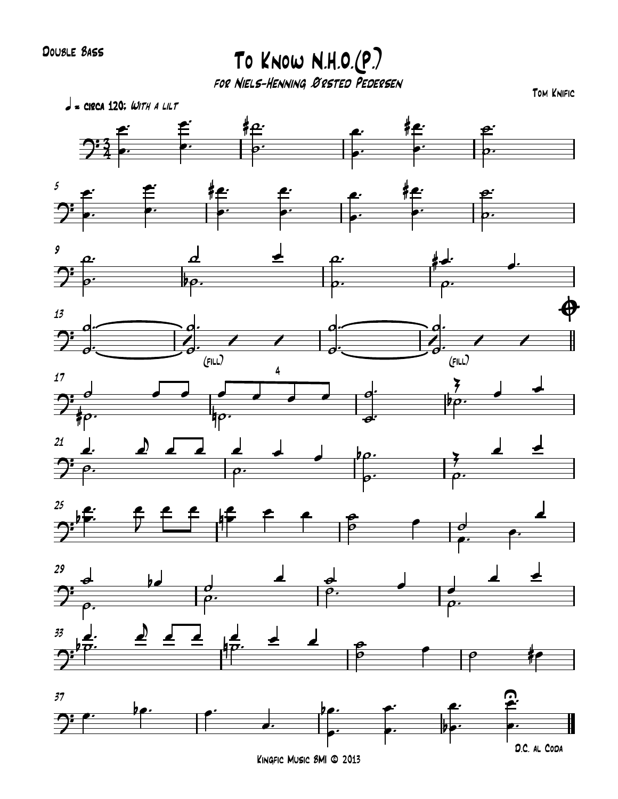Double Bass

To Know N.H.O.(P.)

for Niels-Henning Ørsted Pedersen



Kingfic Music BMI © 2013

D.C. al Coda